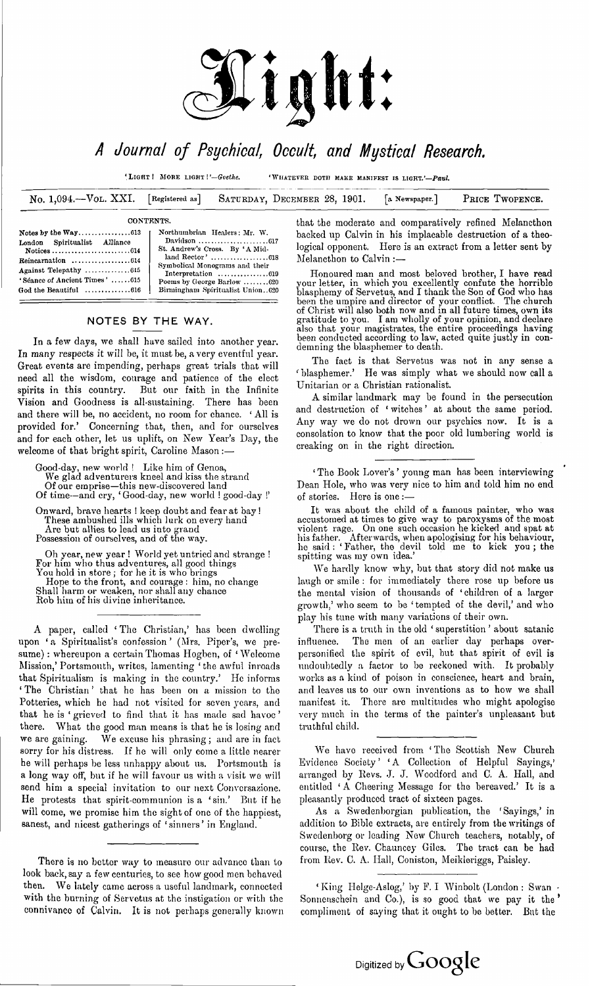

# *<sup>A</sup> Journal of Psychical, Occult, and Mystical Research.*

'Light **<sup>I</sup>** <sup>M</sup>ore light **I***Goethe.* 'Whatever doth make manifest is light.'—*Paul.*

No. 1,094.—Vol. XXI. **[Registered as]** Saturday, December 28, 1901. **[a Newspaper.]** Price Twopence.

## **CONTENTS.**

| London Spiritualist Alliance  |  |
|-------------------------------|--|
|                               |  |
|                               |  |
| Against Telepathy 615         |  |
| 'Séance of Ancient Times' 615 |  |
| God the Beautiful 616         |  |
|                               |  |

**Northumbrian Healers: Mr. W. Davidson..................................617 St. Andrew's Cross. By 'A Mid-land Rector' ...........................618 Symbolical Monograms and their Interpretation ...........................619 Poems by George Barlow.............620 Birmingham Spiritualist Union..620**

## **NOTES BY THE WAY.**

In a few days, we shall have sailed into another year. In many respects it will be, it must be, a very eventful year. Great events are impending, perhaps great trials that will need all the wisdom, courage and patience of the elect spirits in this country. But our faith in the Infinite Vision and Goodness is all-sustaining. There has been and there will be, no accident, no room for chance. ' All is provided for.' Concerning that, then, and for ourselves and for each other, let us uplift, on New Year'<sup>s</sup> Day, the welcome of that bright spirit, Caroline Mason :-

Good-day, new world ! Like him of Genoa, We glad adventurers kneel and kiss the strand Of our emprise—this new-discovered land Of time—and cry, 'Good-day, new world <sup>1</sup> good-day !'

Onward, brave hearts ! keep doubt and fear at bay ! These ambushed ills which lurk on every hand Are but allies to lead us into grand Possession of ourselves, and of the way.

Oh year, new year ! World yet untried and strange ! For him who thus adventures, all good things You hold in store ; for he it is who brings Hope to the front, and courage : him, no change Shall harm or weaken, nor shall any chance Rob him of his divine inheritance.

A paper, called ' The Christian,' has been dwelling upon 'a Spiritualist's confession ' (Mrs. Piper's, we presume) : whereupon a certain Thomas Hogben, of 'Welcome Mission,' Portsmouth, writes, lamenting ' the awful inroads that Spiritualism is making in the country.' He informs ' The Christian ' that he has been on a mission to the Potteries, which he had not visited for seven years, and that he is ' grieved to find that it has made sad havoc ' there. What the good man means is that he is losing and we are gaining. We excuse his phrasing; and are in fact sorry for his distress. If he will only come a little nearer he will perhaps be less unhappy about us. Portsmouth is a long way off, but if he will favour us with a visit we will send him a special invitation to our next Conversazione. He protests that spirit-communion is a 'sin.' But if he will come, we promise him the sight of one of the happiest, sanest, and nicest gatherings of 'sinners' in England.

There is no better way to measure our advance than to look back, say a few centuries, to see how good men behaved then. We lately came across <sup>a</sup> useful landmark, connected with the burning of Servetus at the instigation or with the connivance of Calvin. It is not perhaps generally known that the moderate and comparatively refined Melancthon backed up Calvin in his implacable destruction of a theological opponent. Here is an extract from a letter sent by Melancthon to Calvin :—

Honoured man and most beloved brother, I have read your letter, in which you excellently confute the horrible blasphemy of Servetus, and I thank the Son of God who has been the umpire and director of your conflict. The church of Christ will also both now and in all future times, own its gratitude to you. <sup>I</sup> am wholly of your opinion, and declare also that your magistrates, the entire proceedings having been conducted according to law, acted quite justly in condemning the blasphemer to death.

The fact is that Servetus was not in any sense a ' blasphemer.' He was simply what we should now call a Unitarian or a Christian rationalist.

A similar landmark may be found in the persecution and destruction of ' witches ' at about the same period. Any way we do not drown our psychics now. It is a consolation to know that the poor old lumbering world is creaking on in the right direction.

' The Book Lover'<sup>s</sup> ' young man has been interviewing Dean Hole, who was very nice to him and told him no end of stories. Here is one:—

It was about the child of a famous painter, who was accustomed at times to give way to paroxysms of the most<br>violent rage. On one such occasion he kicked and spat at his father. Afterwards, when apologising for his behaviour, he said : ' Father, the devil told me to kick you ; the spitting was my own idea.'

We hardly know why, but that story did not make us laugh or smile : for immediately there rose up before us the mental vision of thousands of 'children of a larger growth,' who seem to be 'tempted of the devil,' and who play his tune with many variations of their own.

There is a truth in the old 'superstition' about satanic influence. The men of an earlier day perhaps overpersonified the spirit of evil, but that spirit of evil is undoubtedly a factor to be reckoned with. It probably works as a kind of poison in conscience, heart and brain, and leaves us to our own inventions as to how we shall manifest it. There are multitudes who might apologise very much in the terms of the painter'<sup>s</sup> unpleasant but truthful child.

We have received from ' The Scottish New Church Evidence Society' 'A Collection of Helpful Sayings,' arranged by Revs. J. J. Woodford and C. A. Hall, and entitled ' A Cheering Message for the bereaved.' It is a pleasantly produced tract of sixteen pages.

As a Swedenborgian publication, the 'Sayings,' in addition to Bible extracts, are entirely from the writings of Swedenborg or leading New Church teachers, notably, of course, the Rev. Chauncey Giles. The tract can be had from Rev. C. A. Hall, Coniston, Meikleriggs, Paisley.

' King Helge-Aslog,' by F. I Winbolt (London : Swan Sonnenschein and Co.), is so good that we pay it the ' compliment of saying that it ought to be better. But the

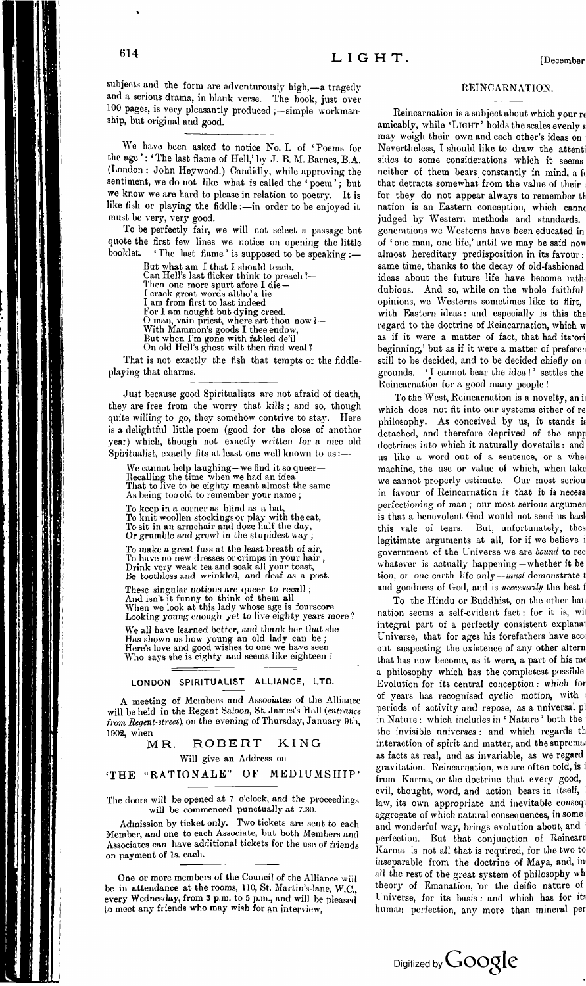subjects and the form are adventurously high,—a tragedy and a serious drama, in blank verse. The book, just over 100 pages, is very pleasantly produced ;—simple workmanship, but original and good.

We have been asked to notice No. I. of 'Poems for the age ': 'The last flame of Hell,' by J. B. M. Barnes, B.A. (London : John Heywood.) Candidly, while approving the sentiment, we do not like what is called the 'poem'; but we know we are hard to please in relation to poetry. It is like fish or playing the fiddle:—in order to be enjoyed it must be very, very good.

To be perfectly fair, we will not select a passage but quote the first few lines we notice on opening the little booklet. The last flame ' is supposed to be speaking  $\frac{1}{10}$ ' The last flame' is supposed to be speaking :-<br>But what am I that I should teach.

But what am I that I should teach, Can Hell's last flicker think to preach ?— Then one more spurt afore I die — I crack great words altho' a lie I am from first to last indeed For I am nought but dying creed. <sup>O</sup> man, vain priest, where art thou now? — With Mammon'<sup>s</sup> goods <sup>I</sup> thee endow, But when I'm gone with fabled de'il On old Hell's ghost wilt then find weal ?

That is not exactly the fish that tempts or the fiddleplaying that charms.

Just because good Spiritualists are not afraid of death, they are free from the worry that kills; and so, though quite willing to go, they somehow contrive to stay. Here is a delightful little poem (good for the close of another year) which, though not exactly written for a nice old Spiritualist, exactly fits at least one well known to us:—

We cannot help laughing—we find it so queer— Recalling the time when we had an idea That to live to be eighty meant almost the same As being too old to remember your name ;

To keep in a corner as blind as a bat, To knit woollen stockings or play with the cat, To sit in an armchair and doze half the day, Or grumble and growl in the stupidest way ;

*To* make a great fuss at the least breath of air, To have no new dresses or crimps in your hair ; Drink very weak tea and soak all your toast, Be toothless and wrinkled, and deaf as a post.

These singular notions are queer to recall ; And isn't it funny to think of them all When we look at this lady whose age is fourscore Looking young enough yet to live eighty years more ?

We all have learned better, and thank her that she Has shown us how young an old lady can be ; Here's love and good wishes to one we have seen Who says she is eighty and seems like eighteen !

## LONDON SPIRITUALIST ALLIANCE, LTD.

A meeting of Members and Associates of the Alliance will be held in the Regent Saloon, St. James's Hall *(entrance from Regent-street), on* the evening of Thursday, January 9th, 1902, when

MR. ROBERT KING Will give an Address on

## **'THE "RATIONALE" OF MEDIUMSHIP.'**

The doors will be opened at <sup>7</sup> o'clock, and the proceedings will be commenced punctually at 7.30.

Admission by ticket only. Two tickets are sent to each Member, and one to each Associate, but both Members and Associates can have additional tickets for the use of friends on payment of Is. each.

One or more members of the Council of the Alliance will be in attendance at the rooms, 110, St. Martin's-lane, W.C., every Wednesday, from 3 p.m. to 5 p.m., and will be pleased to meet any friends who may wish for an interview,

## REINCARNATION.

Reincarnation is a subject about which your re amicably, while 'LIGHT' holds the scales evenly s may weigh their own and each other's ideas on Nevertheless, I should like to draw the attenti sides to some considerations which it seems neither of them bears constantly in mind, a fo that detracts somewhat from the value of their for they do not appear always to remember th nation is an Eastern conception, which cannc judged by Western methods and standards, generations we Westerns have been educated in of ' one man, one life,' until we may be said now almost hereditary predisposition in its favour: same time, thanks to the decay of old-fashioned ideas about the future life have become rathi dubious. And so, while on the whole faithful opinions, we Westerns sometimes like to flirt, with Eastern ideas: and especially is this the regard to the doctrine of Reincarnation, which w as if it were a matter of fact, that had its'ori beginning,' but as if it were a matter of preferen still to be decided, and to be decided chiefly on grounds. 'I cannot bear the idea!' settles the Reincarnation for a good many people !

To the West, Reincarnation is a novelty, an ii which does not fit into our systems either of re philosophy. As conceived by us, it stands is detached, and therefore deprived of the supp doctrines into which it naturally dovetails : and us like a word out of a sentence, or a whe< machine, the use or value of which, when take we cannot properly estimate. Our most seriou in favour of Reincarnation is that it is necess perfectioning of man; our most serious argumen is that a benevolent God would not send us bad this vale of tears. But, unfortunately, thes legitimate arguments at all, for if we believe <sup>i</sup> government of the Universe we are *bound* to rec whatever is actually happening—whether it be tion, or one earth life only—*musl* demonstrate t and goodness of God, and is *necessarily* the best f

To the Hindu or Buddhist, on the other han nation seems a self-evident fact: for it is, will integral part of a perfectly consistent explanat Universe, that for ages his forefathers have acc out suspecting the existence of any other altern that has now become, as it were, a part of his me a philosophy which has the completest possible Evolution for its central conception: which for of years has recognised cyclic motion, with : periods of activity and repose, as a universal pl in Nature : which includes in ' Nature ' both the the invisible universes : and which regards th interaction of spirit and matter, and the suprema as facts as real, and as invariable, as we regard gravitation. Reincarnation, we are often told, is <sup>i</sup> from Karma, or the doctrine that every good, evil, thought, word, and action bears in itself, law, its own appropriate and inevitable conseqi aggregate of which natural consequences, in some and wonderful way, brings evolution about, and ' perfection. But that conjunction of Reincarn Karma is not all that is required, for the two to inseparable from the doctrine of Maya, and, in all the rest of the great system of philosophy wh theory of Emanation, 'or the deific nature of Universe, for its basis : and which has for its human perfection, any more than mineral per

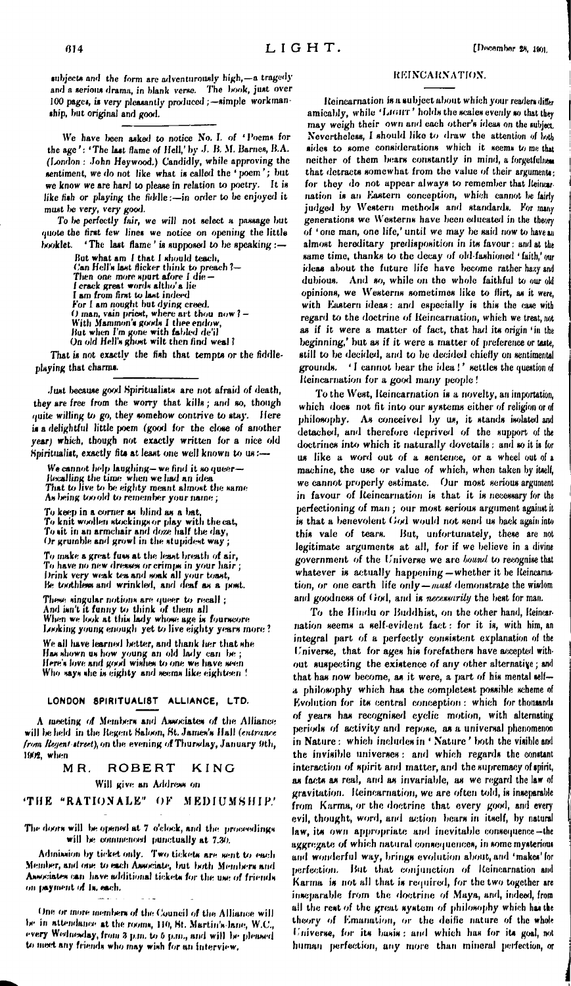**subjects and the form are axlventuroindy high,—a tragedy** REINCARNATION. and a serious drama, in blank verse. The book, just over 100 pages, is very pleasantly produced; -simple workmanship, but original and good.

We have *been* asked to notice No. I. of ' Poems for the age ': 'The last flame of Hell,' by J. B. M. Barnes, B.A. (London : John Heywood.) Candidly, while approving the sentiment, we do not like what is called the ' poem '; but we know we are hard to please in relation to poetry. It is like fish or playing the fiddle:—in order to be enjoyed it must *be very, very* good.

To *be* perfectly fair, we will not select a passage but quote the first few lines we notice on opening the little booklet. ' The last flame ' is supposed to be speaking :—

But what am I that I should teach, (fan Hell's last flicker think to preach <sup>1</sup>— Then one more spurt afore I die -I crack great words altho'a Jie I am from first to last indeed For I am nought but dying creed. 0 man, vain priest, where art thou now *<sup>1</sup> -* With Mammon's goods I thee endow, But when I'm gone with fabled de'il On old Hell's ghost wilt then find weal?

That is not exactly the fish that tempts or the fiddleplaying that charms.

Just because good Spiritualists are not afraid of death, they are free from the worry that kills*; and m,* though quite willing to go, they somehow contrive to stay. *Here it* a delightful little poem (good for the close of another year) which, though not exactly written for a nice old Spiritualist, exactly fits at least one well known to us:—

We cannot help laughing—we find it so queer— Recalling the time when we *had* an *idea* That to live to be eighty meant almost the same As being tooold to remember your name;

To keep in a comer as blind as a bat, To knit woollen stockings or play with the cat, To sit in an armcliair *and* doze half the day, *Or* grumble and growl in the stupidest way ;

To make a great fuss at the least breath of air, To have no new dresses orcrimps in your hair; Brink very *weak tea and* soak all your toast, Be toothless and wrinkled, and *deaf* as a post.

These singular notions are queer to recall ; And isn't it funny to think of them all<br>When we look at this lady whose age is fourscore<br>Looking young enough yet to live eighty years more ? We all have learned better, and thank her that she

Has shown us how young an old lady can be;<br>Here's love and good wishes to one we have seen Who says she is eighty and seems like eighteen !

### LONDON SPIRITUALIST ALLIANCE, LTD.

A meeting of Members and Associates of the Alliance will be held in the Regent Saloon, St. James's Hall *(entrance from Regent atreet*), on the evening of Thursday, January 9th, 1902, when

#### MR. ROBERT KING

Will give an Address on

**'THE "RATIONALE" OK MEDIUMSHIP.'**

The doors will be opened at 7 o'clock, and the proceedings will be commenced punctually at 7.30.

Admission by ticket only. Two tickets are sent *to eneb* Member, and one to each Associate, but both Members and Associates can have additional tickets for the use of friends on |»yrm-nt of Is. *each.*

One or more members of the Council of the Alliance will be in attendance at the rooms, 110, St. Martin's Jane, W.C., *every* Wednesday, from 3 p.m. *to 6* p.rn., ami will lx- pleased to meet any friends who may wish for an interview.

Reincarnation is a subject about which your readers differ amicably, while 'LIGHT' holds the scales evenly so that they may weigh their own and each other's ideas on the subject. Nevertheless, I should like to draw the attention of both sides to some considerations which it seems *to* me that neither of them bears constantly in mind, a forgetfulness that detracts somewhat from the value of their arguments: for they do not appear always to remember that Reincarnation is an Eastern conception, which cannot *be* fairly judged by Western methods and standards. For many generations we Westerns have been educated in the theory of 'one man, one life,' until we may be said now to have an almost hereditary predisposition in its favour: ami at the same time, thanks to the decay of old-fashioned ' faith,' our ideas about the future life have become rather hazy and dubious. And so, while on the whole faithful to our old opinions, we Westerns sometimes like to flirt, as it were, with Eastern ideas: and especially is this the case with regard to the doctrine of Reincarnation, which *we* treat, not as if it were a matter of fact, that had its origin 'in the beginning,' but as if it were a matter of preference or taste, still to be decided, and to be decided chiefly on sentimental grounds. 'I cannot bear the idea!' settles the question of Reincarnation for a good many people !

To the West, Reincarnation is a novelty, an importation, which does not fit into our systems either of religion or of philosophy. As conceived by us, it stands isolated and detached, and therefore deprived of the support of the doctrines into which it naturally dovetails: and so it is for us like a word out of a sentence, or a wheel out of <sup>a</sup> machine, the use or value of which, when taken by itself, we cannot properly estimate. Our most serious argument in favour of Reincarnation is that it is necessary for the perfectioning of man ; our most serious argument against it is that a benevolent God would not send us back again into this vale of tears. But, unfortunately, these are not legitimate arguments at all, for if we believe in a divine government of the L'niverse we arc *bound* to recognise that whatever is actually happening — whether it be lieincamation, or one earth life only—*nuut* demonstrate the wisdom and goodness of God, and is *necessarily* the best for man.

To the Hindu or Buddhist, on the other hand, Reincarnation seems a self-evident fact : for it is, with him, an integral part of a perfectly consistent explanation of the Universe, that for ages his forefathers have acceptai without suspecting the existence of any other alternative ; and that has now become, as it were, a part of his mental selfa philosophy which has the complètent possible scheme of Evolution for its central conception : which for thousands of years has recognised cyclic motion, with alternating periods of activity and repose, as a universal phenomenon in Nature : which includes in ' Nature ' both the visible and the invisible universes: and which regards the constant interaction of spirit and matter, and the supremacy of spirit, as facts as real, and as invariable, as we regard the law of gravitation. Reincarnation, we are often told, is inseparable from Karma, or the doctrine that every good, and every evil, thought, word, and action bears in itself, by natural law, its own appropriate and inevitable consequence-the aggregate of which natural consequences, in some mysterious and wonderful way, brings evolution about, and 'makes' for perfection. But that conjunction of Reincarnation and Karma is not all that is required, for the two together are inseparable from the doctrine of Maya, and, indeed, from all the rest of the great system of philosophy which has the theory of Emanation, *or* the deific nature of the whole Universe, for its basis: ami which has for ita goal, not human perfection, any more than mineral perfection, or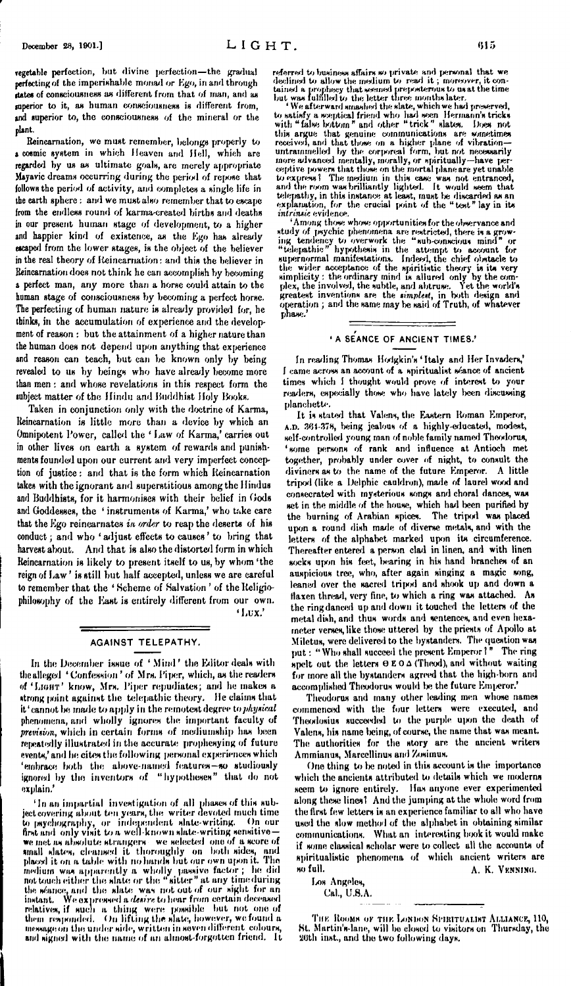vegetable perfection, but divine perfection—the gradual perfecting of the imperishable monad or Ego, in and through **itatee** of consciousness as different from that of man, and as superior to it, as human consciousness is different from, and superior to, the consciousness of the mineral or the plant.

Reincarnation, we must remember, belongs properly to a cosmic system in which Heaven and Hell, which are regarded by us as ultimate goals, are merely appropriate Mayavic dreams occurring during the period of repose that follows the period of activity, and completes a single life in the earth sphere : and wc must also remember that to escape from the endless round of karma-created births and deaths in our present human stage of development, to a higher and happier kind of existence, as the Ego has already escaped from the lower stages, is the object of the believer in the real theory of Reincarnation: and this the believer in Reincarnation does not think he can accomplish by becoming a perfect man, any more than a horse could attain to the human stage of consciousness by becoming a perfect horse. The perfecting of human nature is already provided for, he thinks, in the accumulation of experience and the development of reason : but the attainment of a higher nature than the human does not depend upon anything that experience and reason can teach, but can be known only by being revealed to us by beings who have already become more than men : and whose revelations in this respect form the subject matter of the Hindu and Buddhist Holy Books.

Taken in conjunction only with the doctrine of Karma, Reincarnation is little more than a device by which an Omnipotent Power, called the ' Law of Karma,' carries out in other lives on earth a system of rewards and punishments founded upon our current and very imperfect conception of justice: and that is the form which Reincarnation takes with the ignorant and superstitious amongthc Hindus and Buddhists, for it harmonises with their belief in Gods and Goddesses, the ' instruments of Karma,' who take care that the Ego reincarnates *in order* to reap the deserts of his conduct; and who ' adjust effects to causes ' to bring that harvest about. And that is also the distorted form in which Reincarnation is likely to present itself to us, by whom 'the reign of Law ' is still hut half accepted, unless we arc careful to remember that the ' Scheme of Salvation ' of the Religiophilosophy of the East is entirely different from our own. ' Lux.'

AGAINST TELEPATHY.

In the December issue of 'Mind' the Editor deals with the alleged ' Confession ' of Mrs. Piper, which, as the readers of 'Light' know, Mrs. Piper repudiates; and he makes a strong point against the telepathic theory. He claims that it'cannot be made to apply in the remotest degree to *physical* phenomena, and wholly ignores the important faculty of *prevision*, which in certain forms of mediumship has been repeatedly illustrated in the accurate prophesying of future events,' and he cites the following personal experiences which 'embrace both the above-named features—so studiously ignored by the inventors of "hypotheses" that do not explain.'

'In an impartial investigation of all phases of this subjectcovering about ten years, the writer devoted much time to psychography, or independent slate-writing. On our first and only visit to a well-known slate-writing sensitive we met as absolute strangers we selected one of a score of small slates, cleansed it thoroughly on both sides, and placed it on a table with no hands but our own ujsin it. The medium was apparently a wholly passive factor ; he did not touch either the slate or the "sitter" at any time during the séance, and the slate was not out of our sight for an<br>instant. We expressed a *desire* to hear from certain deceased<br>relatives, if such a - thing-were-possible - but-not-one of<br>them responded. On lifting the slate, how message on the under side, written in seven different colours, ami signed with the name of an almost-forgotten friend. It

referred to business affairs so private and personal that we declined to allow the medium to read it; moreover, it concluded tailed as prophecy that seemed prepoterous to us at the time but was fulfilled to the letter thre

this argue that genuine communications are sometimes<br>received, and that those on a higher plane of vibration—<br>untrammelled by the corporeal form, but not necessarily<br>more advanced mentally, morally, or spiritually—have per ceptive powers that those on the mortal plane are yet unable<br>to express? The medium in this case was not entranced,<br>and the room was brilliantly lighted. It would seen that<br>telepathy, in this instance at least, must be dis *intrinsic* evidence.<br>'Among those whose opportunities for the observance and

'Among those whose opportunities for the observance and<br>study of psychic phenomena are restricted, there is a grow-<br>ing tendency to overwork the "sub-conscious mind" or<br>"telepathic" hypothesis in the attempt to account fo operation ; and the same may be said of Truth, of whatever phase.'

## **'<sup>A</sup> SEANCE OF ANCIENT TIMES.'**

In reading Thomas Hodgkin's 'Italy and Her Invaders,' I came across an account of a spiritualist séance of ancient times which I thought would prove of interest to your readers, especially those who have lately been discussing planchette.

It is stated that Valens, the Eastern Roman Emperor, A.D. 381-378, being jealous of a highly-educated, modest, self-controlled young man of noble family named Theodorus, 'some persons of rank and influence at Antioch met together, probably under cover of night, to consult the diviners as to the name of the future Emperor. A little tripod (like a Delphic cauldron), made of laurel wood and consecrated with mysterious songs and choral dances, was set in the middle of the house, which had been purified by the burning of Arabian spices. The tripod was placed upon a round dish made of diverse metals, and with the letters of the alphabet marked upon its circumference. Thereafter entered a person clad in linen, and with linen socks upon his feet, bearing in his hand branches of an auspicious tree, who, after again singing a magic song, leaned over the sacred tripod and shook up and down a flaxen thread, very fine, to which a ring was attached. As the ring danced up and down it touched the letters of the metal dish, and thus words and sentences, and even hexameter verses, like those uttered by the priests of Apollo at Miletus, were delivered to the bystanders. The question was put: "Who shall succeed the present Emperor  $1$ " The ring spelt out the letters  $\Theta \to 0 \Delta$  (Theod), and without waiting for more all the bystanders agreed that the high-born and accomplished Theodorus would be the future Emperor.'

Theodorus and many other leading men whose names commenced with the four letters were executed, and Theodosius succeeded to the purple upon the death of Valens, his name being, of course, the name that was meant. The authorities for the story are the ancient writers Ammianus, Marccllinus and Zosimus.

One thing to be noted in this account is the importance which the ancients attributed to details which we moderns seem to ignore entirely. Has anyone ever experimented along these lines! And the jumping at the whole word from the first few letters is an experience familiar to all who have used the slow method of the alphabet in obtaining similar communications. What an interesting book it would make if some classical scholar were to collect all the accounts of spiritualistic phenomena of which ancient writers are so full.  $A$ , K, VENNING. A. K. Venning.

Los Angeles,

Cal., U.S.A.

THE ROOMS OF THE LONDON SPIRITUALIST ALLIANCE, 110, St. Martin's-lane, will be closed to visitors on Thursday, the 2Uth inst., and the two following days.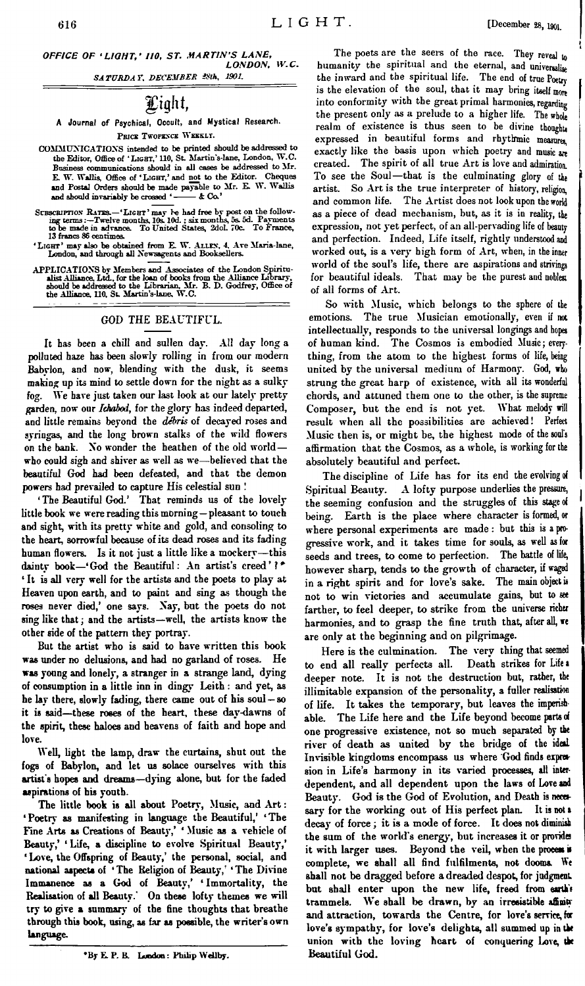*OFFICE OF 'LIGHT,' 110, ST. MARTIN'<sup>S</sup> LANE, LONDON, W.C.*

*SATURDAY. DECEMBER »th, 1901.*

## gaght,

**A Journal of Psychical, Occult, and Mystical Research. Pbjcs Twopence Weekly.**

- COMMUNICATIONS intended to be printed should be addressed to the Editor, Office of **'Light,'** 110, St. Martin's-lane, London, W.C. Business communications should in all cases be addressed to JIr. E. W. Wallis, Office of **'Light,'** and not to the Editor. Cheques and Postal Orders should be made payable to Mr. E. W. Wallis and should invariably be crossed ' $-$  & Co.'
- SUBSCRIPTION RATES.—'LIGHT' may be had free by post on the following terms:-Twelve months, Ios. 10d. : six months, 5s. 5d. Payments to be made in advance. To United States, 2dol. 70c. To France, 13 francs 86 centimes.
- **'Light'** may also be obtained from E. W. **Allen,** 4, Ave Maria-lane, London, and through all Newsagents and Booksellers.
- APPLICATIONS by Members and Associates of the London Spiritualist Alliance Library, eld., for the loan of books from the Alliance Library, should be addressed to the Librarian, Mr. B. D. Godfrey, Office of the Alliance, 11

## GOD THE BEAUTIFUL.

It has been a chill and sullen day. All day long a polluted haze has been slowly rolling in from our modern Babvlon, and now, blending with the dusk, it seems making up its mind to settle down for the night as a sulky fog. We have just taken our last look at our lately pretty garden, now our *Ichabod, for* the glory has indeed departed, and little remains beyond the *debris* of decayed roses and syringas, and the long brown stalks of the wild flowers on the bank. No wonder the heathen of the old world who could sigh and shiver as well as we—believed that the beautiful God had been defeated, and that the demon powers had prevailed to capture His celestial sun '

' The Beautiful God.' That reminds us of the lovely little book we were reading this morning—pleasant to touch and sight, with its pretty white and gold, and consoling to the heart, sorrowful because of its dead roses and its fading human flowers. Is it not just <sup>a</sup> little like <sup>a</sup> mockery—this dainty book-'God the Beautiful: An artist's creed'?\* ' It is all very well for the artists and the poets to play at Heaven upon earth, and to paint and sing as though the roses never died,' one says. Nay, but the poets do not sing like that; and the artists—well, the artists know the other side of the pattern they portray.

But the artist who is said to have written this book was under no delusions, and had no garland of roses. He was young and lonely, a stranger in a strange land, dying of consumption in a little inn in dingy Leith : and yet, as he lay there, slowly fading, there came out of his soul —so it is said—these roses of the heart, these day-dawns of the spirit, these haloes and heavens of faith and hope and love.

Well, light the lamp, draw the curtains, shut out the fogs of Babylon, and let us solace ourselves with this artist's hopes and dreams—dying alone, but for the faded aspirations of his youth.

The little book is all about Poetry, Music, and Art: ' Poetry as manifesting in language the Beautiful,' ' The Fine Arts as Creations of Beauty,' ' Music as a vehicle of Beauty,' 'Life, a discipline to evolve Spiritual Beauty,' ' Love, the Offspring of Beauty,' the personal, social, and national aspects of 'The Religion of Beauty,' 'The Divine Immanence as a God of Beauty,' ' Immortality, the Realisation of all Beauty.' On these lofty themes we will try to give a summary of the fine thoughts that breathe through this book, using, as far as possible, the writer'<sup>s</sup> own language.

•By E. P. B. London: Philip Wellby.

The poets are the seers of the race. They reveal to humanity the spiritual and the eternal, and universalize the inward and the spiritual life. The end of true Poetry is the elevation of the soul, that it may bring itself more into conformity with the great primal harmonies, regarding the present only as a prelude to a higher life. The whole realm of existence is thus seen to be divine thoughts expressed in beautiful forms and rhythmic measure, exactly like the basis upon which poetry and music are created. The spirit of all true Art is love and admiration. To see the Soul—that is the culminating glory of the artist. So Art is the true interpreter of history, religion, and common life. The Artist does not look upon the world as a piece of dead mechanism, but, as it is in reality, the expression, not yet perfect, of an all-pervading life of beauty and perfection. Indeed, Life itself, rightly understood and worked out, is a very' high form of Art, when, in the inner world of the soul's life, there are aspirations and strivings for beautiful ideals. That may be the purest and noblest of all forms of Art.

So with Music, which belongs to the sphere of the emotions. The true Musician emotionally, even if not intellectually, responds to the universal longings and hopes of human kind. The Cosmos is embodied Music; everything, from the atom to the highest forms of life, being united by the universal medium of Harmony. God, who strung the great harp of existence, with all its wonderful chords, and attuned them one to the other, is the supreme Composer, but the end is not yet. What melody will result when all the possibilities are achieved! Perfect Music then is, or might be, the highest mode of the soul's affirmation that the Cosmos, as a whole, is working for the absolutely beautiful and perfect.

The discipline of Life has for its end the evolving of Spiritual Beauty. A lofty purpose underlies the pressure, the seeming confusion and the struggles of this stage of being. Earth is the place where character is formed, or where personal experiments are made: but this is <sup>a</sup> progressive work, and it takes time for souls, as well as for seeds and trees, to come to perfection. The battle of life, however sharp, tends to the growth of character, if waged in a right spirit and for love's sake. The main object is not to win victories and accumulate gains, but to see farther, to feel deeper, to strike from the universe richer harmonies, and to grasp the fine truth that, after all, we are only at the beginning and on pilgrimage.

Here is the culmination. The very thing that seemed to end all really perfects all. Death strikes for Life <sup>a</sup> deeper note. It is not the destruction but, rather, the illimitable expansion of the personality, a fuller realisation of life. It takes the temporary, but leaves the imperishable. The Life here and the Life beyond become parts of one progressive existence, not so much separated by the river of death as united by the bridge of the ideal Invisible kingdoms encompass us where God finds expression in Life's harmony in its varied processes, all interdependent, and all dependent upon the laws of Love and Beauty. God is the God of Evolution, and Death is necessary for the working out of His perfect plan. It is not <sup>a</sup> decay of force; it is a mode of force. It does not diminish the sum of the world's energy, but increases it or provides it with larger uses. Beyond the veil, when the process is complete, we shall all find fulfilments, not dooms. We shall not be dragged before a dreaded despot, for judgment but shall enter upon the new life, freed from earth's trammels. We shall be drawn, by an irresistible affinity and attraction, towards the Centre, for love's service, far love's sympathy, for love's delights, all summed up in the union with the loving heart of conquering Love, the Beautiful God.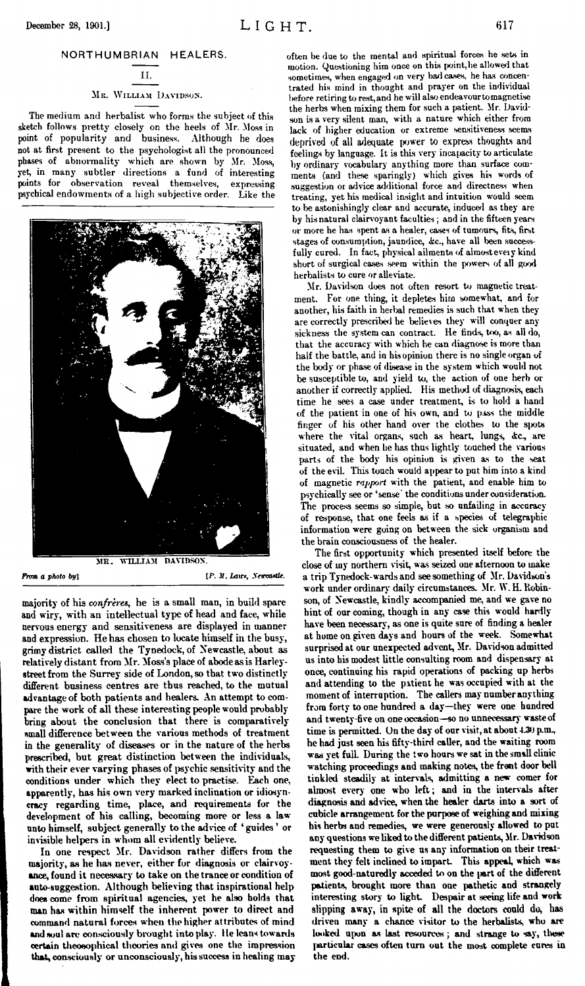## **II. Mb. William Davidsos.**

# The medium and herbalist who forms the subject of this

sketch follows pretty closely on the heels of Mr. Moss in point of popularity and business. Although he does not at first present to the psychologist all the pronounced phases of abnormality which are shown by Mr. Moss, yet, in many subtler directions a fund of interesting points for observation reveal themselves, expressing psychical endowments of a high subjective order. Like the



majority of his *confrère»,* he is a small man, in build spare and wiry, with an intellectual type of head and face, while nervous energy and sensitiveness are displayed in manner and expression. He has chosen to locate himself in the busy, grimy district called the Tynedock, of Newcastle, about as relatively distant from Mr. Moss's place of abode as is Harleystreet from the Surrey side of London, so that two distinctly different business centres are thus reached, to the mutual advantage of both patients and healers. An attempt to compare the work of all these interesting people would probably bring about the conclusion that there is comparatively small difference between the various methods of treatment in the generality of diseases or in the nature of the herbs prescribed, but great distinction between the individuals, with their ever varying phases of psychic sensitivity and the conditions under which they elect to practise. Each one, apparently, has his own very marked inclination or idiosyncracy regarding time, place, and requirements for the development of his calling, becoming more or less a law unto himself, subject generally to the advice of ' guides ' or invisible helpers in whom all evidently believe.

In one respect Mr. Davidson rather differs from the majority, as he has never, either for diagnosis or clairvoyance, found it necessary to take on the trance or condition of auto-suggestion. Although believing that inspirational help does come from spiritual agencies, yet he also bolds that man has within himself the inherent power to direct and command natural forces when the higher attributes of mind and soul are consciously brought into play. He leans towards certain theosophical theories and gives one the impression that, consciously or unconsciously, hissuccess in healing may

often be due to the mental and spiritual forces he sets in motion. Questioning him once on this point, he allowed that sometimes, when engaged on very bad cases, he has concentrated his mind in thought and prayer on the individual before retiring to rest,and he will also endeavourtomagnetise the herbs when mixing them for such a patient. Mr. Davidson is a very silent man, with a nature which either from lack of higher education or extreme sensitiveness seems deprived of all adequate power to express thoughts and feelings by language. It is this very incapacity to articulate by ordinary vocabulary anything more than surface comments (and these sparingly) which gives his words of suggestion or advice additional force and directness when treating, yet his medical insight and intuition would seem to be astonishingly clear and accurate, induced as they are by his natural clairvoyant faculties; and in the fifteen years or more he has spent as a healer, cases of tumours, fits, first stages of consumption, jaundice, &c., have all been successfully cured. In fact, physical ailments of almosteveiy kind short of surgical cases seem within the powers of all good herbalists to cure or alleviate.

Mr. Davidson does not often resort to magnetic treatment. For one thing, it depletes him somewhat, and for another, his faith in herbal remedies is such that when they are correctly prescribed he believes they will conquer any sickness the system can contract. He finds, too, as all do, that the accuracy with which he can diagnose is more than half the battle, and in his opinion there is no single organ of the body or phase of disease in the system which would not be susceptible to, and yield to, the action of one herb or another if correctly applied. His method of diagnosis, each time he sees a case under treatment, is to hold a hand of the patient in one of his own, and to pass the middle finger of his other hand over the clothes to the spots where the vital organs, such as heart, lungs, &c., are situated, and when be has thus lightly touched the various parts of the body his opinion is given as to the seat of the eviL This touch would appearto put him into a kind of magnetic *rapport* with the patient, and enable him to psychically see or 'sense' the conditions under consideration. The process seems so simple, but so unfailing in accuracy of response, that one feels as if a species of telegraphic information were going on between the sick organism and the brain consciousness of the healer.

The first opportunity which presented itself before the close of my northern visit, was seized one afternoon to make a trip Tynedock-wards and see something of Mr. Davidson's work under ordinary daily circumstances. Mr. W. H. Robinson, of Newcastle, kindly accompanied me, and we gave no hint of our coming, though in any case this would hardly have been necessary, as one is quite sure of finding a healer at home on given days and hours of the week. Somewhat surprised at our unexpected advent, Mr. Davidson admitted us into his modest little consulting room and dispensary at once, continuing his rapid operations of packing up herbs and attending to the patient he was occupied with at the moment of interruption. The callers may numberanything from forty to one hundred a day—they were one hundred and twenty-five on one occasion—so no unnecessary waste of time is permitted. On the day of our visit, at about 4.30 p.m., he had just seen his fifty-third caller, and the waiting room was yet full. During the two hours we sat in the small clinic watching proceedings and making notes, the front door bell tinkled steadily at intervals, admitting a new comer for almost every one who left; and in the intervals after diagnosis and advice, when the healer darts into a sort of cubicle arrangement for the purpose of weighing and mixing his herbs and remedies, we were generously allowed to put any questions we liked to the different patients, Mr. Davidson requesting them to give us any information on their treatment they felt inclined to impart This appeal, which was most good-naturedly acceded to on the part of the different patients, brought more than one pathetic and strangely interesting story to light. Despair at seeing life and work slipping away, in spite of all the doctors could do, has driven many a chance visitor to the herbalists, who are looked upon as last resources; and strange to say, these particular cases often turn out the most complete cures in the end.

**From** *a photo by*} **(P. II**, *Laurs*, *Newcastle.*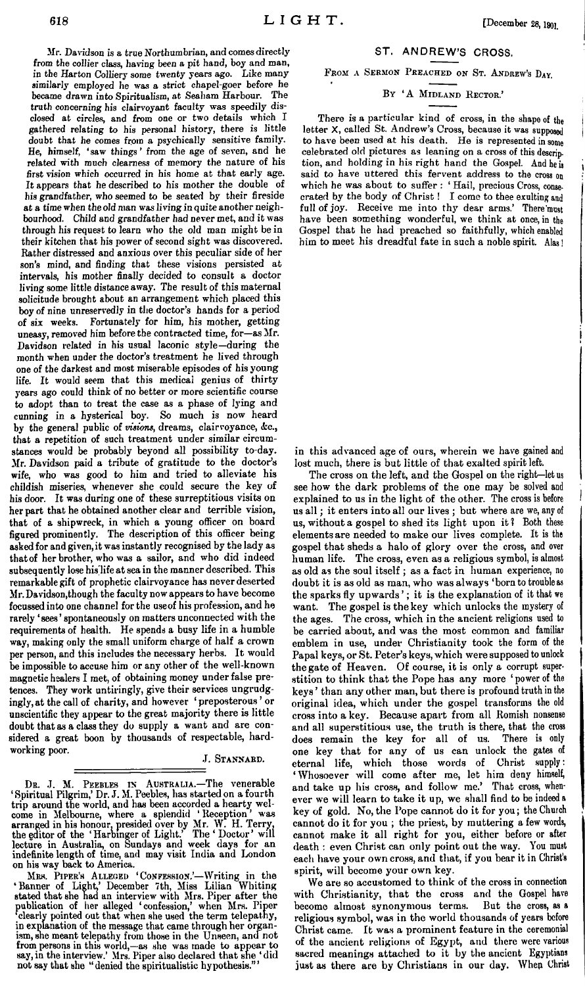Mr. Davidson is a true Northumbrian, and comes directly from the collier class, having been a pit hand, boy and man, in the Harton Colliery some twenty years ago. Like many similarly employed he was a strict chapel-goer before he became drawn into Spiritualism, at Seaham Harbour. The truth concerning his clairvoyant faculty was speedily disclosed at circles, and from one or two details which I gathered relating to his personal history, there is little doubt that he comes from a psychically sensitive family. He, himself, 'saw things ' from the age of seven, and he related with much clearness of memory the nature of his first vision which occurred in his home at that early age. It appears that he described to his mother the double of his grandfather, who seemed to be seated by their fireside at a time when the old man wasliving in quite another neighbourhood. Child and grandfather had never met, and it was through his request to learn who the old man might be in their kitchen that his power of second sight was discovered. Rather distressed and anxious over this peculiar side of her son's mind, and finding that these visions persisted at intervals, his mother finally decided to consult a doctor living some little distance away. The result of this maternal solicitude brought about an arrangement which placed this boy of nine unreservedly in the doctor's hands for a period of six weeks. Fortunately for him, his mother, getting uneasy, removed him before the contracted time, for—as Mr. Davidson related in his usual laconic style—during the month when under the doctor's treatment he lived through one of the darkest and most miserable episodes of his young life. It would seem that this medical genius of thirty years ago could think of no better or more scientific course to adopt than to treat the case as a phase of lying and cunning in a hysterical boy. So much is now heard by the general public of *visions*, dreams, clairvoyance, &c., that a repetition of such treatment under similar circumstances would be probably beyond all possibility to-day. Mr. Davidson paid a tribute of gratitude to the doctor's wife, who was good to him and tried to alleviate his childish miseries, whenever she could secure the key of his door. It was during one of these surreptitious visits on her part that he obtained another clear and terrible vision, that of a shipwreck, in which a young officer on board figured prominently. The description of this officer being asked for and given,it wasinstantly recognised by the lady as that of her brother, who was a sailor, and who did indeed subsequently lose hislife atsea in the manner described. This remarkable gift of prophetic clairvoyance has neverdeserted Mr.Davidson,though the faculty now appearsto have become focussed into one channel forthe useof his profession, and he rarely 'sees' spontaneously on matters unconnected with the requirements of health. He spends a busy life in a humble way, making only the small uniform charge of half a crown per person, and this includes the necessary herbs. It would be impossible to accuse him or any other of the well-known magnetic healers I met, of obtaining money underfalse pretences. They work untiringly, give their services ungrudgingly, at the call of charity, and however ' preposterous ' or unscientific they appear to the great majority there is little doubt that as a class they' do supply a want and are considered a great boon by thousands of respectable, hard-

### J. Stannard.

DB. J. M. PEEBLES IN AUSTRALIA.—The venerable Spiritual Pilgrim,' Dr.J. M. Peebles, has started on a fourth trip around the world, and has been accorded a hearty wel-<br>come in Melbourne, where a splendid 'Reception' was<br>arranged in his honour, presided over by Mr. W. H. Terry,<br>the editor of the 'Harbinger of Light.' The 'Doctor' lecture in Australia, on Sundays and week days for an indefinite length of time, and may visit India and London on his way back to America.

working poor.

MRS. PIPER'S ALLEGED 'CONFESSION.'—Writing in the<br>
'Banner of Light,' December 7th, Miss Lilian Whiting<br>
stated that she had an interview with Mrs. Fiper after the<br>
publication of her alleged 'confession,' when Mrs. Piper<br> in explanation of the message that came through her organism, she meant telepathy from those in the Unseen, and not from persons in this world,—as she was made to appear to say, in the interview.' Mrs. Piper also declared that she 'did not say that she 'denied the spiritualistic hypothesis."'

## ST. ANDREW'<sup>S</sup> CROSS.

## FROM A SERMON PREACHED ON ST. ANDREW'S DAY.

## <sup>B</sup><sup>y</sup> 'A <sup>M</sup>idland <sup>R</sup>ector.'

There is a particular kind of cross, in the shape of the letter X, called St. Andrew's Cross, because it was supposed to have been used at his death. He is represented in some celebrated old pictures as leaning on a cross of this description, and holding in his right hand the Gospel. And he is said to have uttered this fervent address to the cross on which he was about to suffer : ' Hail, precious Cross, conse-crated by the body of Christ ! I come to thee exulting and full of joy. Receive me into thy dear arms.' There'must have been something wonderful, we think at once, in the Gospel that he had preached so faithfully, which enabled him to meet his dreadful fate in such a noble spirit. Alas !

in this advanced age of ours, wherein we have gained and lost much, there is but little of that exalted spirit left.

The cross on the left, and the Gospel on the right—let us see how the dark problems of the one may be solved and explained to us in the light of the other. The cross is before us all; it enters into all our lives ; but where are we, any of us, without a gospel to shed its light upon it ? Both these elements are needed to make our lives complete. It is the gospel that sheds a halo of glory over the cross, and over human life. The cross, even as a religious symbol, is almost as old as the soul itself ; as a fact in human experience, no doubt it is as old as man, who was always 'born to trouble as the sparks fly upwards '; it is the explanation of it that we want. The gospel is the key which unlocks the mystery of the ages. The cross, which in the ancient religions used to be carried about, and was the most common and familiar emblem in use, under Christianity took the form of the Papal keys, or St. Peter's keys,which were supposed to unlock the gate of Heaven. Of course, it is only a corrupt superstition to think that the Pope has any more ' power of the keys' than any other man, but there is profound truth in the original idea, which under the gospel transforms the old cross into a key. Because apart from all Romish nonsense and all superstitious use, the truth is there, that the cross does remain the key for all of us. There is only does remain the key for all of us. one key that for any of us can unlock the gates of eternal life, which those words of Christ supply: 'Whosoever will come after me, let him deny himself, and take up his cross, and follow me.' That cross, whenever we will learn to take it up, we shall find to be indeed <sup>a</sup> key of gold. No, the Pope cannot do it for you; the Church cannot do it for you ; the priest, by muttering a few words, cannot make it all right for you, either before or after death : even Christ can only point out the way. You must each have your own cross, and that, if you bear it in Christ'<sup>s</sup> spirit, will become your own key.

We are so accustomed to think of the cross in connection with Christianity, that the cross and the Gospel have become almost synonymous terms. But the cross, as <sup>a</sup> religious symbol, was in the world thousands of years before Christ came. It was a prominent feature in the ceremonial of the ancient religions of Egypt, and there were various sacred meanings attached to it by the ancient Egyptians just as there are by Christians in our day. Whep Christ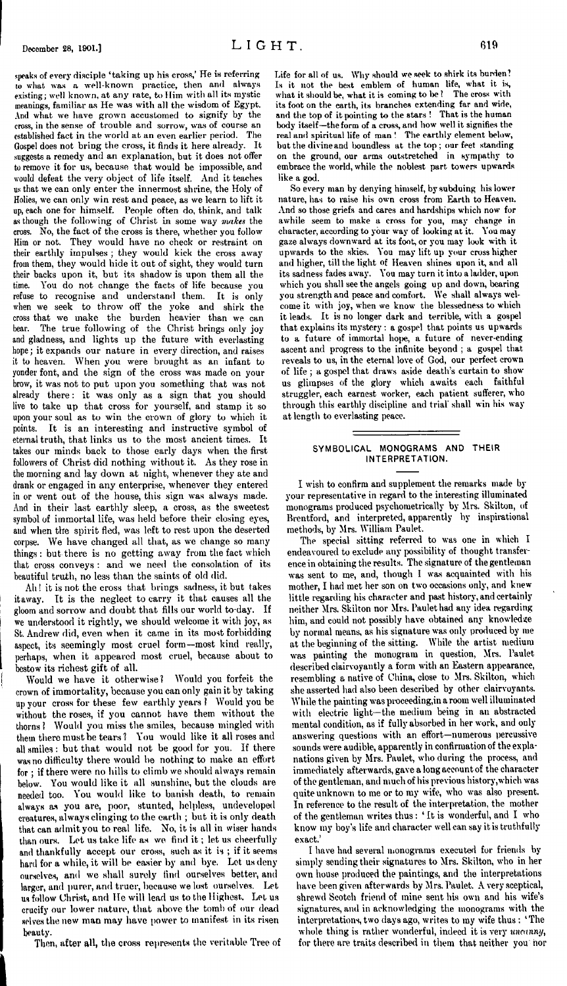speaks of every disciple 'taking up his cross,' He is referring to what was a well-known practice, then and always existing; well known, at any rate, to Him with all its mystic meanings, familiar as He was with all the wisdom of Egypt. And what we have grown accustomed to signify by the cross, in the sense of trouble and sorrow, was of course an established fact in the world at an even earlier period. The Gospel does not bring the cross, it finds it here already. It suggests a remedy and an explanation, but it does not offer to remove it for us, because that would be impossible, and would defeat the very object of life itself. And it teaches us that we can only enter the innermost shrine, the Holy of Holies, we can only win rest and peace, as we learn to lift it up, each one for himself. People often do, think, and talk as though the following of Christ in some way *makes* the cross. No, the fact of the cross is there, whether you follow Him or not. They would have no check or restraint on their earthly impulses ; they would kick the cross away from them, they would hide it out of sight, they would turn their backs upon it, but its shadow is upon them all the time. You do not change the facts of life because you refuse to recognise and understand them. It is only when we seek to throw off the yoke and shirk the cross that we make the burden heavier than we can bear. The true following of the Christ brings only joy and gladness, and lights up the future with everlasting hope; it expands our nature in every direction, and raises it to heaven. When you were brought as an infant to yonder font, and the sign of the cross was made on your brow, it was not to put upon you something that was not already there: it was only as a sign that you should live to take up that cross for yourself, and stamp it so upon your soul as to win the crown of glory to which it points. It is an interesting and instructive symbol of eternal truth, that links us to the most ancient times. It takes our minds back to those early days when the first followers of Christ did nothing without it. As they rose in the morning and lay down at night, whenever they ate and drank or engaged in any enterprise, whenever they entered in or went out of the house, this sign was always made. And in their last earthly sleep, a cross, as the sweetest symbol of immortal life, was held before their closing eyes, and when the spirit fled, was left to rest upon the deserted corpse. We have changed all that, as we change so many things: but there is no getting away from the fact which that cross conveys : and we need the consolation of its beautiful truth, no less than the saints of old did.

Ah <sup>1</sup> it is not the cross that brings sadness, it but takes itaway. It is the neglect to carry it that causes all the gloom and sorrow and doubt that fills our world to-day. If we understood it rightly, we should welcome it with joy, as St. Andrew did, even when it came in its most forbidding aspect, its seemingly most cruel form—most kind really, perhaps, when it appeared most cruel, because about to bestow its richest gift of all.

Would we have it otherwise? Would you forfeit the crown of immortality, because you can only gain it by taking up your cross for these few earthly years <sup>1</sup> Would you be without the roses, if you cannot have them without the thorns ! Would you miss the smiles, because mingled with them there must be tears? You would like it all roses and all smiles : but that would not be good for you. If there was no difficulty there would be nothing to make an effort for ; if there were no hills to climb we should always remain below. You would like it all sunshine, but the clouds are needed too. You would like to banish death, to remain always as you are, poor, stunted, helpless, undeveloped creatures, always clinging to the earth ; but it is only death that can admit you to real life. No, it is all in wiser hands than ours. Let us take life as we find it; let us cheerfully and thankfully accept our cross, such as it is ; if it seems hard for a while, it will be easier by and bye. Let us deny ourselves, and we shall surely find ourselves better, and larger, and purer, and truer, because we lost ourselves. Let us follow Christ, and He will lead us to the Highest. Let us crucify our lower nature, that above the tomb of our dead selves the new man may have power to manifest in its risen beauty.

Then, after all, the cross represents the veritable Tree of

Life for all of us. Why should we seek to shirk its burden? Is it not the best emblem of human life, what it is, what it should be, what it is coming to be ? The cross with its foot on the earth, its branches extending far and wide, and the top of it pointing to the stars ! That is the human body itself—the form of a cross, and how well it signifies the real and spiritual life of man! The earthly element below, but the divine and boundless at the top ; our feet standing on the ground, our arms outstretched in sympathy to embrace the world, while the noblest part towers upwards like a god.

So every man by denying himself, by subduing his lower nature, has to raise his own cross from Earth to Heaven. And so those griefs and cares and hardships which now for awhile seem to make a cross for you, may change in character, according to your way of looking at it. You may gaze always downward at its foot, or you may look with it upwards to the skies. You may lift up your cross higher and higher, till the light of Heaven shines upon it, and all its sadness fades away. You may turn it into a ladder, upon which you shall see the angels going up and down, bearing you strength and peace and comfort. We shall always welcome it with joy, when we know the blessedness to which it leads. It is no longer dark and terrible, with a gospel that explains its mystery : a gospel that points us upwards to a future of immortal hope, a future of never-ending ascent and progress to the infinite beyond ; a gospel that reveals to us, in the eternal love of God, our perfect crown of life ; a gospel that draws aside death's curtain to show us glimpses of the glory which awaits each faithful struggler, each earnest worker, each patient sufferer, who through this earthly discipline and trial shall win his way at length to everlasting peace.

## **SYMBOLICAL MONOGRAMS AND THEIR INTERPRETATION.**

I wish to confirm and supplement the remarks made by your representative in regard to the interesting illuminated monograms produced psychometrically by Mrs. Skilton, of Brentford, and interpreted, apparently by inspirational methods, by Mrs. William Paulet.

The special sitting referred to was one in which I endeavoured to exclude any possibility of thought transference in obtaining the results. The signature of the gentleman was sent to me, and, though I was acquainted with his mother, I had met her son on two occasions only, and knew little regarding his character and past history, and certainly neither Mrs. Skilton nor Mrs. Paulet had any idea regarding him, and could not possibly have obtained any knowledge by normal means, as his signature was only produced by me at the beginning of the sitting. While the artist medium was painting the monogram in question, Mrs. Paulet described clairvoyantly a form with an Eastern appearance, resembling a native of China, close to Mrs. Skilton, which she asserted had also been described by other clairvoyants. While the painting was proceeding,in a room well illuminated with electric light—the medium being in an abstracted mental condition, as if fully absorbed in her work, and onlyanswering questions with an effort—numerous percussive sounds were audible, apparently in confirmation of the explanations given by Mrs. Paulet, who during the process, and immediately afterwards, gave a long account of the character of the gentleman, and much of his previous history,which was quite unknown to me or to my wife, who was also present. In reference to the result of the interpretation, the mother of the gentleman writes thus: 'It is wonderful, and I who know my boy's life and character well can say it is truthfully exact.'

I have had several monograms executed for friends by simply sending their signatures to Mrs. Skilton, who in her own house produced the paintings, and the interpretations have been given afterwards by Mrs. Paulet. A very sceptical, shrewd Scotch friend of mine sent his own and his wife's signatures, and in acknowledging the monograms with the interpretations, two days ago, writes to my wife thus : 'The whole thing is rather wonderful, indeed it is very *uncanny,* for there are traits described in them that neither you nor